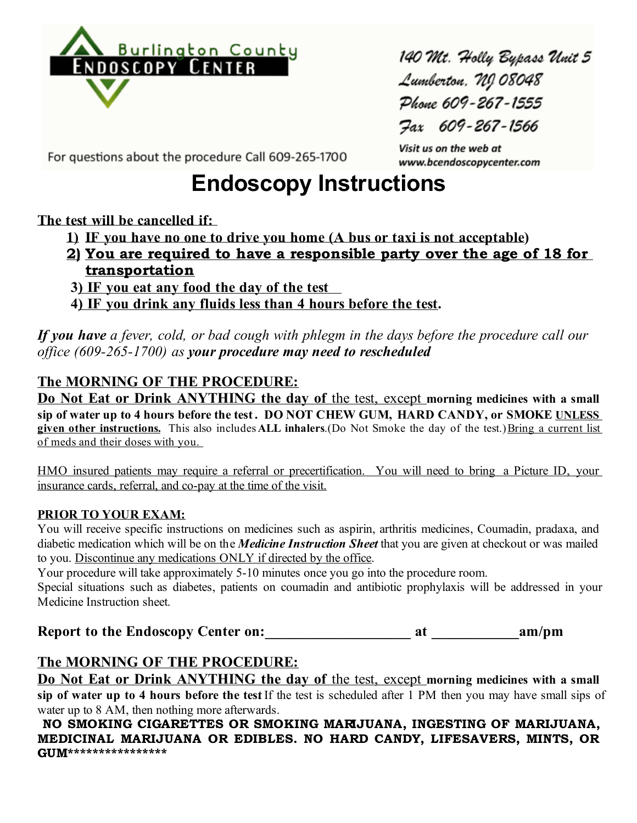

140 Mt. Holly Bypass Unit 5 Lumberton, NJ 08048 Phone 609-267-1555 Fax 609-267-1566

Visit us on the web at

www.bcendoscopycenter.com

For questions about the procedure Call 609-265-1700

# **Endoscopy Instructions**

#### **The test will be cancelled if:**

- **1) IF you have no one to drive you home (A bus or taxi is not acceptable)**
- **2) You are required to have a responsible party over the age of 18 for transportation**
- **3) IF you eat any food the day of the test**
- **4) IF you drink any fluids less than 4 hours before the test.**

*If you have a fever, cold, or bad cough with phlegm in the days before the procedure call our office (609-265-1700) as your procedure may need to rescheduled*

## **The MORNING OF THE PROCEDURE:**

**Do Not Eat or Drink ANYTHING the day of** the test, except **morning medicines with a small sip of water up to 4 hours before the test . DO NOT CHEW GUM, HARD CANDY, or SMOKE UNLESS given other instructions.** This also includes **ALL inhalers**.(Do Not Smoke the day of the test.) Bring a current list of meds and their doses with you.

HMO insured patients may require a referral or precertification. You will need to bring a Picture ID, your insurance cards, referral, and co-pay at the time of the visit.

#### **PRIOR TO YOUR EXAM:**

You will receive specific instructions on medicines such as aspirin, arthritis medicines, Coumadin, pradaxa, and diabetic medication which will be on the *Medicine Instruction Sheet* that you are given at checkout or was mailed to you. Discontinue any medications ONLY if directed by the office.

Your procedure will take approximately 5-10 minutes once you go into the procedure room.

Special situations such as diabetes, patients on coumadin and antibiotic prophylaxis will be addressed in your Medicine Instruction sheet.

**Report to the Endoscopy Center on:**  $\begin{array}{ccc}\n\hline\n\text{a} & \text{a} \\
\hline\n\text{a} & \text{a} \\
\hline\n\text{a} & \text{a} \\
\hline\n\text{a} & \text{a} \\
\hline\n\text{a} & \text{a} \\
\hline\n\text{a} & \text{a} \\
\hline\n\text{a} & \text{a} \\
\hline\n\text{a} & \text{a} \\
\hline\n\text{a} & \text{a} \\
\hline\n\text{a} & \text{a} \\
\hline\n\text{a} & \text{a} \\$ 

## **The MORNING OF THE PROCEDURE:**

**Do Not Eat or Drink ANYTHING the day of** the test, except **morning medicines with a small**  sip of water up to 4 hours before the test If the test is scheduled after 1 PM then you may have small sips of water up to 8 AM, then nothing more afterwards.

**NO SMOKING CIGARETTES OR SMOKING MARIJUANA, INGESTING OF MARIJUANA, MEDICINAL MARIJUANA OR EDIBLES. NO HARD CANDY, LIFESAVERS, MINTS, OR GUM\*\*\*\*\*\*\*\*\*\*\*\*\*\*\*\***